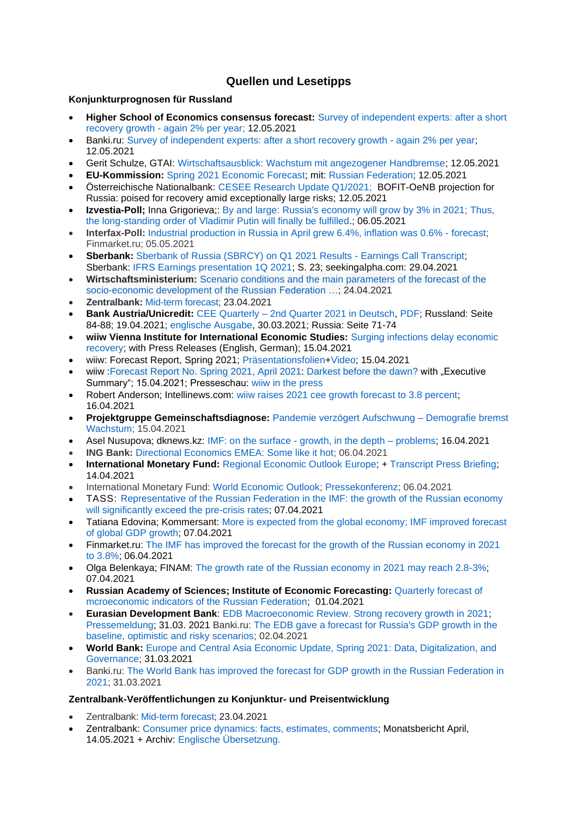# **Quellen und Lesetipps**

# **Konjunkturprognosen für Russland**

- **Higher School of Economics consensus forecast:** [Survey of independent experts: after a short](http://www.hse.ru/pubs/share/direct/document/468869915.pdf)  recovery growth - [again 2% per year;](http://www.hse.ru/pubs/share/direct/document/468869915.pdf) 12.05.2021
- Banki.ru: [Survey of independent experts: after a short recovery growth -](https://arb.ru/banks/analitycs/opros_nezavisimykh_ekspertov_posle_kratkogo_vosstanovitelnogo_rosta_opyat_2_v_go-10470669/) again 2% per year; 12.05.2021
- Gerit Schulze, GTAI: [Wirtschaftsausblick: Wachstum mit angezogener Handbremse;](https://www.gtai.de/gtai-de/trade/wirtschaftsumfeld/wirtschaftsausblick/russland/wachstum-mit-angezogener-handbremse-584942) 12.05.2021
- **EU-Kommission:** [Spring 2021 Economic Forecast;](https://ec.europa.eu/info/business-economy-euro/economic-performance-and-forecasts/economic-forecasts/spring-2021-economic-forecast_en#forecast-by-country) mit: [Russian Federation;](https://ec.europa.eu/economy_finance/forecasts/2021/spring/ecfin_forecast_spring_2021_ru_en.pdf) 12.05.2021
- Österreichische Nationalbank: [CESEE Research Update Q1/2021;](https://www.oenb.at/dam/jcr:32311378-c7a6-45f9-9b8d-52f2d67e3235/CESEE-Research-Update-2021-5.pdf) BOFIT-OeNB projection for Russia: poised for recovery amid exceptionally large risks; 12.05.2021
- **Izvestia-Poll:** Inna Grigorieva:: By and large: Russia's economy will grow by 3% in 2021; Thus, [the long-standing order of Vladimir Putin will finally be fulfilled.](https://iz.ru/1158778/inna-grigoreva/po-bolshomu-schetu-ekonomika-rossii-vyrastet-na-3-v-2021-m?); 06.05.2021
- **Interfax-Poll:** [Industrial production in Russia in April grew 6.4%, inflation was 0.6% -](http://www.finmarket.ru/news/5464019) forecast; Finmarket.ru; 05.05.2021
- **Sberbank:** [Sberbank of Russia \(SBRCY\) on Q1 2021 Results -](https://seekingalpha.com/article/4422731-sberbank-of-russia-sbrcy-on-q1-2021-results-earnings-call-transcript) Earnings Call Transcript; Sberbank: [IFRS Earnings presentation 1Q 2021;](https://static.seekingalpha.com/uploads/sa_presentations/797/68797/original.pdf) S. 23; seekingalpha.com: 29.04.2021
- **Wirtschaftsministerium:** [Scenario conditions and the main parameters of the forecast of the](https://economy.gov.ru/material/directions/makroec/prognozy_socialno_ekonomicheskogo_razvitiya/scenarnye_usloviya_osnovnye_parametry_prognoza_socialno_ekonomicheskogo_razvitiya_rf_na_2022_god_i_na_planovyy_period_2023_i_2024_godov.html)  [socio-economic development of the Russian Federation …;](https://economy.gov.ru/material/directions/makroec/prognozy_socialno_ekonomicheskogo_razvitiya/scenarnye_usloviya_osnovnye_parametry_prognoza_socialno_ekonomicheskogo_razvitiya_rf_na_2022_god_i_na_planovyy_period_2023_i_2024_godov.html) 24.04.2021
- **Zentralbank:** [Mid-term forecast;](https://www.cbr.ru/Collection/Collection/File/32223/forecast_210423_e.pdf) 23.04.2021
- **Bank Austria/Unicredit:** CEE Quarterly [2nd Quarter 2021 in Deutsch,](https://www.bankaustria.at/wirtschaft-cee-quarterly.jsp) [PDF;](https://www.bankaustria.at/files/cee_quaterly_042021_de.pdf) Russland: Seite 84-88; 19.04.2021; [englische Ausgabe,](https://www.research.unicredit.eu/DocsKey/emergingmarkets_docs_2021_179703.ashx?EXT=pdf&KEY=l6KjPzSYBBGzROuioxedUNdVqq1wFeRowj6TkjKKn2ls2gVPgAyjlQ==&&T=1) 30.03.2021; Russia: Seite 71-74
- **wiiw Vienna Institute for International Economic Studies:** [Surging infections delay economic](https://wiiw.ac.at/surging-infections-delay-economic-recovery-n-496.html)  [recovery;](https://wiiw.ac.at/surging-infections-delay-economic-recovery-n-496.html) with Press Releases (English, German); 15.04.2021
- wiiw: Forecast Report, Spring 2021; [Präsentationsfolien](https://wiiw.ac.at/files/news/pk-de-n-496.pptx)[+Video;](https://www.youtube.com/watch?v=XZaAHING5Ug) 15.04.2021
- wiiw : Forecast Report [No. Spring 2021,](https://wiiw.ac.at/darkest-before-the-dawn-p-5752.html) April 2021: [Darkest before the dawn?](https://wiiw.ac.at/darkest-before-the-dawn-p-5752.html) with "Executive Summary"; 15.04.2021; Presseschau: [wiiw in the press](https://wiiw.ac.at/wiiw-in-the-press.html)
- Robert Anderson; Intellinews.com: [wiiw raises 2021 cee growth forecast to 3.8 percent;](https://www.intellinews.com/wiiw-raises-2021-cee-growth-forecast-to-3-8-208264/?source=albania) 16.04.2021
- **Projektgruppe Gemeinschaftsdiagnose:** Pandemie verzögert [Aufschwung](https://gemeinschaftsdiagnose.de/2021/04/15/pandemie-verzoegert-aufschwung-demografie-bremst-wachstum/) Demografie bremst [Wachstum;](https://gemeinschaftsdiagnose.de/2021/04/15/pandemie-verzoegert-aufschwung-demografie-bremst-wachstum/) 15.04.2021
- Asel Nusupova; dknews.kz: IMF: on the surface [growth, in the depth –](https://dknews.kz/inner-news.php?id_cat=27%20&&%20id=176402) problems; 16.04.2021
- **ING Bank:** [Directional Economics EMEA: Some like it hot;](https://think.ing.com/reports/directional-economics-emea-some-like-it-hot/) 06.04.2021
- **International Monetary Fund:** [Regional Economic Outlook Europe;](https://www.imf.org/en/Publications/REO/EU/Issues/2021/04/12/regional-economic-outlook-for-europe) + [Transcript Press Briefing;](https://www.imf.org/en/News/Articles/2021/04/14/tr041421-transcript-of-april-2021-european-department-press-briefing) 14.04.2021
- International Monetary Fund: [World Economic Outlook;](https://www.imf.org/en/Publications/WEO) [Pressekonferenz;](https://www.imf.org/en/Publications/WEO/Issues/2021/03/23/world-economic-outlook-april-2021) 06.04.2021
- TASS: [Representative of the Russian Federation in the IMF: the growth of the Russian economy](https://tass.ru/ekonomika/11084443)  [will significantly exceed the pre-crisis rates;](https://tass.ru/ekonomika/11084443) 07.04.2021
- Tatiana Edovina; Kommersant: [More is expected from the global economy; IMF improved forecast](https://www.kommersant.ru/doc/4761717?)  [of global GDP growth;](https://www.kommersant.ru/doc/4761717?) 07.04.2021
- Finmarket.ru: [The IMF has improved the forecast for the growth of the Russian economy in 2021](http://www.finmarket.ru/news/5444197?)  [to 3.8%;](http://www.finmarket.ru/news/5444197?) 06.04.2021
- Olga Belenkaya; FINAM: The growth rate of the Russian economy in 2021 may reach 2.8-3%; 07.04.2021
- **Russian Academy of Sciences; Institute of Economic Forecasting:** [Quarterly forecast of](https://ecfor.ru/publication/kvartalnyj-prognoz-ekonomiki-vypusk-50/)  [mcroeconomic indicators of the Russian Federation;](https://ecfor.ru/publication/kvartalnyj-prognoz-ekonomiki-vypusk-50/) 01.04.2021
- **Eurasian Development Bank**: EDB Macroeconomic Review. [Strong recovery growth in 2021;](https://eabr.org/analytics/ceg-quarterly-reviews/makroekonomicheskiy-obzor-eabr-silnyy-vosstanovitelnyy-rost-v-2021-godu/) [Pressemeldung;](https://eabr.org/press/releases/2021-god-stanet-periodom-silnogo-vosstanovitelnogo-rosta-ekonomik-gosudarstv-uchastnikov-eabr/) 31.03. 2021 Banki.ru: [The EDB gave a forecast for Russia's GDP growth in the](https://www.banki.ru/news/lenta/?id=10944208)  [baseline, optimistic and risky scenarios;](https://www.banki.ru/news/lenta/?id=10944208) 02.04.2021
- **World Bank:** [Europe and Central Asia Economic Update, Spring 2021: Data, Digitalization, and](https://openknowledge.worldbank.org/handle/10986/35273)  [Governance;](https://openknowledge.worldbank.org/handle/10986/35273) 31.03.2021
- Banki.ru: [The World Bank has improved the forecast for GDP growth in the Russian Federation in](https://www.banki.ru/news/lenta/?id=10943977)  [2021;](https://www.banki.ru/news/lenta/?id=10943977) 31.03.2021

# **Zentralbank-Veröffentlichungen zu Konjunktur- und Preisentwicklung**

- Zentralbank: [Mid-term forecast;](https://www.cbr.ru/Collection/Collection/File/32223/forecast_210423_e.pdf) 23.04.2021
- Zentralbank: [Consumer price dynamics: facts, estimates, comments;](http://cbr.ru/analytics/dkp/dinamic/) Monatsbericht April, 14.05.2021 + Archiv: [Englische Übersetzung.](http://cbr.ru/eng/analytics/dkp/dinamic/)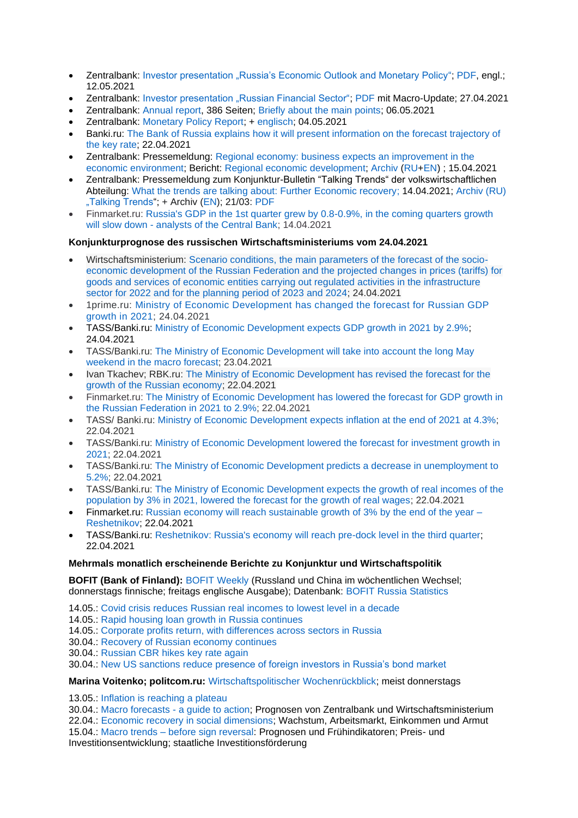- Zentralbank: [Investor presentation "Russia's Economic Outlook and Monetary Policy";](https://www.cbr.ru/eng/about_br/irp/) [PDF,](https://www.cbr.ru/Collection/Collection/File/32277/2021_april_e.pdf) engl.; 12.05.2021
- Zentralbank: [Investor presentation "Russian Financial Sector";](https://www.cbr.ru/eng/about_br/irp/) [PDF](https://www.cbr.ru/Collection/Collection/File/32238/cbr_ir_2021-4.pdf) mit Macro-Update; 27.04.2021
- Zentralbank: [Annual report,](http://www.cbr.ru/Collection/Collection/File/32268/ar_2020.pdf) 386 Seiten; [Briefly about the main points;](http://www.cbr.ru/about_br/publ/annrep2020short/) 06.05.2021
- Zentralbank: [Monetary Policy Report;](https://www.cbr.ru/about_br/publ/ddkp/#a_118755) + [englisch;](https://www.cbr.ru/eng/about_br/publ/ddkp/) 04.05.2021
- Banki.ru: [The Bank of Russia explains how it will present information on the forecast trajectory of](https://www.banki.ru/news/lenta/?id=10945392)  [the key rate;](https://www.banki.ru/news/lenta/?id=10945392) 22.04.2021
- Zentralbank: Pressemeldung: [Regional economy: business expects an improvement in the](https://cbr.ru/press/event/?id=9768)  [economic environment;](https://cbr.ru/press/event/?id=9768) Bericht: [Regional economic development;](https://cbr.ru/Collection/Collection/File/32214/report_15042021.pdf) [Archiv](https://cbr.ru/analytics/dkp/#a_118418) [\(RU](https://cbr.ru/analytics/dkp/#a_118418)[+EN\)](https://www.cbr.ru/eng/analytics/dkp/#a_118420) ; 15.04.2021
- Zentralbank: Pressemeldung zum Konjunktur-Bulletin "Talking Trends" der volkswirtschaftlichen Abteilung: What the trends are talking [about: Further Economic recovery;](http://cbr.ru/press/event/?id=9762) 14.04.2021; [Archiv \(RU\)](https://cbr.ru/ec_research/)  ["Talking Trends"](https://cbr.ru/ec_research/); + Archiv [\(EN\)](https://www.cbr.ru/eng/ec_research/#a_16699); 21/03: [PDF](https://www.cbr.ru/Collection/Collection/File/32200/bulletin_21-03_e.pdf)
- Finmarket.ru: [Russia's GDP in the 1st quarter grew by 0.8-0.9%, in the coming quarters growth](http://www.finmarket.ru/news/5450027)  will slow down - [analysts of the Central Bank;](http://www.finmarket.ru/news/5450027) 14.04.2021

# **Konjunkturprognose des russischen Wirtschaftsministeriums vom 24.04.2021**

- Wirtschaftsministerium: [Scenario conditions, the main parameters of the forecast of the socio](https://economy.gov.ru/material/directions/makroec/prognozy_socialno_ekonomicheskogo_razvitiya/scenarnye_usloviya_osnovnye_parametry_prognoza_socialno_ekonomicheskogo_razvitiya_rf_na_2022_god_i_na_planovyy_period_2023_i_2024_godov.html)[economic development of the Russian Federation and the projected changes in prices \(tariffs\) for](https://economy.gov.ru/material/directions/makroec/prognozy_socialno_ekonomicheskogo_razvitiya/scenarnye_usloviya_osnovnye_parametry_prognoza_socialno_ekonomicheskogo_razvitiya_rf_na_2022_god_i_na_planovyy_period_2023_i_2024_godov.html)  goods and services of economic [entities carrying out regulated activities in the infrastructure](https://economy.gov.ru/material/directions/makroec/prognozy_socialno_ekonomicheskogo_razvitiya/scenarnye_usloviya_osnovnye_parametry_prognoza_socialno_ekonomicheskogo_razvitiya_rf_na_2022_god_i_na_planovyy_period_2023_i_2024_godov.html)  [sector for 2022 and for the planning period of 2023 and 2024;](https://economy.gov.ru/material/directions/makroec/prognozy_socialno_ekonomicheskogo_razvitiya/scenarnye_usloviya_osnovnye_parametry_prognoza_socialno_ekonomicheskogo_razvitiya_rf_na_2022_god_i_na_planovyy_period_2023_i_2024_godov.html) 24.04.2021
- 1prime.ru: [Ministry of Economic Development has changed the forecast for Russian GDP](https://1prime.ru/macroeconomics/20210424/833534497.html)  [growth in 2021;](https://1prime.ru/macroeconomics/20210424/833534497.html) 24.04.2021
- TASS/Banki.ru: [Ministry of Economic Development expects GDP growth in 2021 by 2.9%;](https://www.banki.ru/news/lenta/?id=10945529) 24.04.2021
- TASS/Banki.ru: [The Ministry of Economic Development will take into account the long May](https://www.banki.ru/news/lenta/?id=10945485)  [weekend in the macro forecast;](https://www.banki.ru/news/lenta/?id=10945485) 23.04.2021
- Ivan Tkachev; RBK.ru: [The Ministry of Economic Development has revised the forecast for the](https://www.rbc.ru/economics/22/04/2021/6081194c9a794778a67eb622?from=from_main_4)  [growth of the Russian economy;](https://www.rbc.ru/economics/22/04/2021/6081194c9a794778a67eb622?from=from_main_4) 22.04.2021
- Finmarket.ru: [The Ministry of Economic Development has lowered the forecast for GDP growth in](http://www.finmarket.ru/main/article/5455551)  [the Russian Federation in 2021 to 2.9%;](http://www.finmarket.ru/main/article/5455551) 22.04.2021
- TASS/ Banki.ru: [Ministry of Economic Development expects inflation at the end of 2021 at 4.3%;](https://www.banki.ru/news/lenta/?id=10945360)  22.04.2021
- TASS/Banki.ru: [Ministry of Economic Development lowered the forecast for investment growth in](https://www.banki.ru/news/lenta/?id=10945377)  [2021;](https://www.banki.ru/news/lenta/?id=10945377) 22.04.2021
- TASS/Banki.ru: [The Ministry of Economic Development predicts a decrease in unemployment to](https://www.banki.ru/news/lenta/?id=10945380)  [5.2%;](https://www.banki.ru/news/lenta/?id=10945380) 22.04.2021
- TASS/Banki.ru: [The Ministry of Economic Development expects the growth of real incomes of the](https://www.banki.ru/news/lenta/?id=10945365)  [population by 3% in 2021, lowered the forecast for the growth of real wages;](https://www.banki.ru/news/lenta/?id=10945365) 22.04.2021
- Finmarket.ru: [Russian economy will reach sustainable growth of 3% by the end of the year –](http://www.finmarket.ru/news/5455609) [Reshetnikov;](http://www.finmarket.ru/news/5455609) 22.04.2021
- TASS/Banki.ru: [Reshetnikov: Russia's economy will reach pre-dock level in the third quarter;](https://www.banki.ru/news/lenta/?id=10945373) 22.04.2021

#### **Mehrmals monatlich erscheinende Berichte zu Konjunktur und Wirtschaftspolitik**

**BOFIT (Bank of Finland):** [BOFIT Weekly](https://www.bofit.fi/en/monitoring/weekly/) (Russland und China im wöchentlichen Wechsel; donnerstags finnische; freitags englische Ausgabe); Datenbank: [BOFIT Russia Statistics](https://www.bofit.fi/en/monitoring/statistics/russia-statistics/)

- 14.05.: [Covid crisis reduces Russian real incomes to lowest level in a decade](https://www.bofit.fi/en/monitoring/weekly/2021/vw202119_1/)
- 14.05.: [Rapid housing loan growth in Russia continues](https://www.bofit.fi/en/monitoring/weekly/2021/vw202119_2/)
- 14.05.: [Corporate profits return, with differences across sectors in Russia](https://www.bofit.fi/en/monitoring/weekly/2021/vw202119_3/)
- 30.04.: [Recovery of Russian economy continues](https://www.bofit.fi/en/monitoring/weekly/2021/vw202117_2/)
- 30.04.: [Russian CBR hikes key rate again](https://www.bofit.fi/en/monitoring/weekly/2021/vw202117_3/)
- 30.04.: [New US sanctions reduce presence of foreign investors in Russia's bond market](https://www.bofit.fi/en/monitoring/weekly/2021/vw202117_1/)

#### **Marina Voitenko; politcom.ru:** [Wirtschaftspolitischer Wochenrückblick;](http://politcom.ru/19979.html) meist donnerstags

- 13.05.: [Inflation is reaching a plateau](http://politcom.ru/24203.html)
- 30.04.: [Macro forecasts -](http://politcom.ru/24201.html) a guide to action; Prognosen von Zentralbank und Wirtschaftsministerium
- 22.04.: [Economic recovery in social dimensions;](http://politcom.ru/24188.html) Wachstum, Arbeitsmarkt, Einkommen und Armut

15.04.: Macro trends – [before sign reversal:](http://politcom.ru/24184.html) Prognosen und Frühindikatoren; Preis- und Investitionsentwicklung; staatliche Investitionsförderung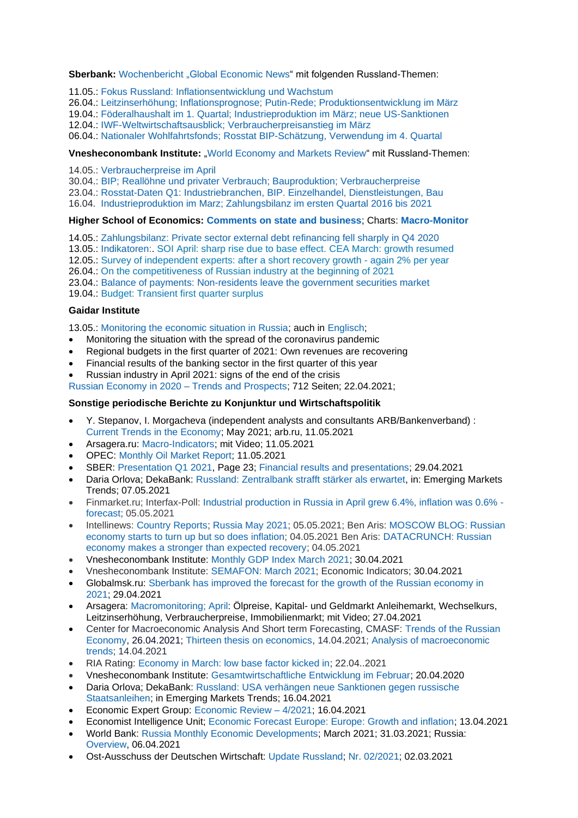### **Sberbank:** [Wochenbericht](https://www.sberbank.com/ru/analytics/news) "Global Economic News" mit folgenden Russland-Themen:

11.05.: Fokus Russland: [Inflationsentwicklung](https://www.sberbank.com/common/img/uploaded/analytics/2021/april26-may9.pdf) und Wachstum

26.04.: Leitzinserhöhung; Inflationsprognose; Putin-Rede; [Produktionsentwicklung](https://www.sberbank.com/common/img/uploaded/analytics/2021/april19-25.pdf) im März

19.04.: Föderalhaushalt im 1. Quartal; [Industrieproduktion](https://www.sberbank.com/common/img/uploaded/analytics/2021/april12-18.pdf) im März; neue US-Sanktionen

12.04.: [IWF-Weltwirtschaftsausblick;](https://www.sberbank.com/common/img/uploaded/analytics/2021/april5-11.pdf) Verbraucherpreisanstieg im März

06.04.: Nationaler [Wohlfahrtsfonds;](https://www.sberbank.com/ru/analytics/news/article?) Rosstat BIP-Schätzung, Verwendung im 4. Quartal

#### **Vnesheconombank Institute:** ["World Economy and Markets Review"](http://inveb.ru/ru/articles-menu) mit Russland-Themen:

14.05.: [Verbraucherpreise im April](http://inveb.ru/ru/articles-menu/613-obzor-mirovoj-ekonomiki-i-rynkov-30-aprelya-13-maya-2021)

30.04.: [BIP; Reallöhne und privater Verbrauch; Bauproduktion; Verbraucherpreise](http://inveb.ru/ru/articles-menu/606-obzor-mirovoj-ekonomiki-i-rynkov-23-29-aprelya-2021)

23.04.: [Rosstat-Daten Q1: Industriebranchen, BIP. Einzelhandel, Dienstleistungen, Bau](http://inveb.ru/ru/articles-menu/601-obzor-mirovoj-ekonomiki-i-rynkov-16-23-aprelya-2021)

16.04. [Industrieproduktion im Marz; Zahlungsbilanz im ersten Quartal 2016 bis 2021](http://inveb.ru/attachments/article/592/%20%D0%BC%D0%B8%D1%80%D0%BE%D0%B2%D0%BE%D0%B9%20%D1%8D%D0%BA%D0%BE%D0%BD%D0%BE%D0%BC%D0%B8%D0%BA%D0%B8%20%D0%B8~.pdf)

#### **Higher School of Economics: [Comments on state and business](https://dcenter.hse.ru/newkgb)**; Charts: **[Macro-Monitor](https://dcenter.hse.ru/macromonitor)**

14.05.: [Zahlungsbilanz: Private sector external debt refinancing fell sharply in Q4 2020](http://www.hse.ru/pubs/share/direct/document/469224866.pdf)

13.05.: [Indikatoren:.](http://www.hse.ru/pubs/share/direct/document/469138899.pdf) [SOI April: sharp rise due to base effect.](http://www.hse.ru/pubs/share/direct/document/469138899.pdf) CEA March: growth resumed

12.05.: [Survey of independent experts: after a short recovery growth -](http://www.hse.ru/pubs/share/direct/document/468869915.pdf) again 2% per year

26.04.: [On the competitiveness of Russian industry at the beginning of 2021](http://www.hse.ru/pubs/share/direct/document/464952563.pdf)

23.04.: [Balance of payments: Non-residents leave the government securities market](http://www.hse.ru/pubs/share/direct/document/463745286.pdf)

19.04.: [Budget: Transient first quarter surplus](http://www.hse.ru/pubs/share/direct/document/462894536.pdf)

#### **Gaidar Institute**

13.05.: [Monitoring the economic situation in Russia;](https://www.iep.ru/ru/monitoring) auch in [Englisch;](http://www.iep.ru/en/publications/category/1417.html)

- Monitoring the situation with the spread of the coronavirus pandemic
- Regional budgets in the first quarter of 2021: Own revenues are recovering
- Financial results of the banking sector in the first quarter of this year
- Russian industry in April 2021: signs of the end of the crisis

[Russian Economy in 2020 –](https://www.iep.ru/ru/publikatcii/publication/rossiyskaya-ekonomika-v-2020-godu-tendentsii-i-perspektivy-vypusk-42.html) Trends and Prospects; 712 Seiten; 22.04.2021;

### **Sonstige periodische Berichte zu Konjunktur und Wirtschaftspolitik**

- Y. Stepanov, I. Morgacheva (independent analysts and consultants ARB/Bankenverband) : [Current Trends in the Economy;](https://arb.ru/b2b/analitycs/arb/) May 2021; arb.ru, 11.05.2021
- Arsagera.ru: [Macro-Indicators;](https://bf.arsagera.ru/makropokazateli/makromonitoring_251_ot_11052021/) mit Video; 11.05.2021
- OPEC: [Monthly Oil Market Report;](https://www.opec.org/opec_web/en/publications/338.htm) 11.05.2021
- SBER: [Presentation Q1 2021,](https://www.sberbank.com/common/img/uploaded/files/info/ifrs2021/01/present/ifrs1q_2021_present_public_en.pdf) Page 23; [Financial results and presentations;](https://www.sberbank.com/investor-relations/financial-results-and-presentations/ifrs) 29.04.2021
- Daria Orlova; DekaBank: [Russland: Zentralbank strafft stärker als erwartet,](https://www.deka.de/site/dekade_deka-gruppe_site/get/documents/dekade/Publikationen/2021/Emerging%20Markets/20210507_Emerging_Markets_Trends.pdf) in: Emerging Markets Trends; 07.05.2021
- Finmarket.ru; Interfax-Poll: [Industrial production in Russia in April grew 6.4%, inflation was 0.6%](http://www.finmarket.ru/news/5464019)  [forecast;](http://www.finmarket.ru/news/5464019) 05.05.2021
- Intellinews: [Country Reports;](https://www.intellinews.com/reports/) [Russia May 2021;](https://www.intellinews.com/reports/russia-country-report-apr21-april-2021-71516/) 05.05.2021; Ben Aris: [MOSCOW BLOG: Russian](https://intellinews.com/moscow-blog-russian-economy-starts-to-turn-up-but-so-does-inflation-209564/)  [economy starts to turn up but so does inflation;](https://intellinews.com/moscow-blog-russian-economy-starts-to-turn-up-but-so-does-inflation-209564/) 04.05.2021 Ben Aris: [DATACRUNCH: Russian](https://www.intellinews.com/datacrunch-russian-economy-makes-a-stronger-than-expected-recovery-209561/?source=russia)  [economy makes a stronger than expected recovery;](https://www.intellinews.com/datacrunch-russian-economy-makes-a-stronger-than-expected-recovery-209561/?source=russia) 04.05.2021
- Vnesheconombank Institute: [Monthly GDP Index March 2021;](http://inveb.ru/ru/products/index-gdp) 30.04.2021
- Vnesheconombank Institute: [SEMAFON: March 2021;](http://inveb.ru/ru/products/product-03) Economic Indicators; 30.04.2021
- Globalmsk.ru: [Sberbank has improved the forecast for the growth of the Russian economy in](https://globalmsk.ru/news/id/51041)  [2021;](https://globalmsk.ru/news/id/51041) 29.04.2021
- Arsagera: [Macromonitoring;](https://bf.arsagera.ru/makropokazateli/makromonitoring_250_ot_27042021/) April: Ölpreise, Kapital- und Geldmarkt Anleihemarkt, Wechselkurs, Leitzinserhöhung, Verbraucherpreise, Immobilienmarkt; mit Video; 27.04.2021
- Center for Macroeconomic Analysis And Short term Forecasting, CMASF: [Trends of the Russian](http://www.forecast.ru/default.aspx)  [Economy,](http://www.forecast.ru/default.aspx) 26.04.2021; [Thirteen thesis on economics,](http://www.forecast.ru/default.aspx) 14.04.2021; [Analysis of macroeconomic](http://www.forecast.ru/default.aspx)  [trends;](http://www.forecast.ru/default.aspx) 14.04.2021
- RIA Rating: [Economy in March: low base factor kicked in;](https://riarating.ru/macroeconomic_study/20210422/630199295.html) 22.04..2021
- Vnesheconombank Institute: [Gesamtwirtschaftliche Entwicklung im Februar;](http://inveb.ru/ru/articles-menu/595-dinamika-osnovnykh-makropokazatelej-v-fevrale-2021) 20.04.2020
- Daria Orlova; DekaBank: [Russland: USA verhängen neue Sanktionen gegen russische](https://www.deka.de/site/dekade_deka-gruppe_site/get/documents/dekade/Publikationen/2021/Emerging%20Markets/20210416_Emerging_Markets_Trends.pdf)  [Staatsanleihen;](https://www.deka.de/site/dekade_deka-gruppe_site/get/documents/dekade/Publikationen/2021/Emerging%20Markets/20210416_Emerging_Markets_Trends.pdf) in Emerging Markets Trends; 16.04.2021
- Economic Expert Group: [Economic Review –](http://www.eeg.ru/pages/186) 4/2021; 16.04.2021
- Economist Intelligence Unit; [Economic Forecast Europe: Europe: Growth and inflation;](http://gfs.eiu.com/Archive.aspx?archiveType=Europe) 13.04.2021
- World Bank: [Russia Monthly Economic Developments;](https://www.worldbank.org/en/country/russia/brief/monthly-economic-developments) March 2021; 31.03.2021; Russia: [Overview,](https://www.worldbank.org/en/country/russia/overview#3) 06.04.2021
- Ost-Ausschuss der Deutschen Wirtschaft: Update [Russland;](https://www.ost-ausschuss.de/de/oa-updates-zu-regionen) Nr. [02/2021;](https://www.ost-ausschuss.de/sites/default/files/paragraphs/pdf/2021-03/02-2021_OA_Update_Russland.pdf) 02.03.2021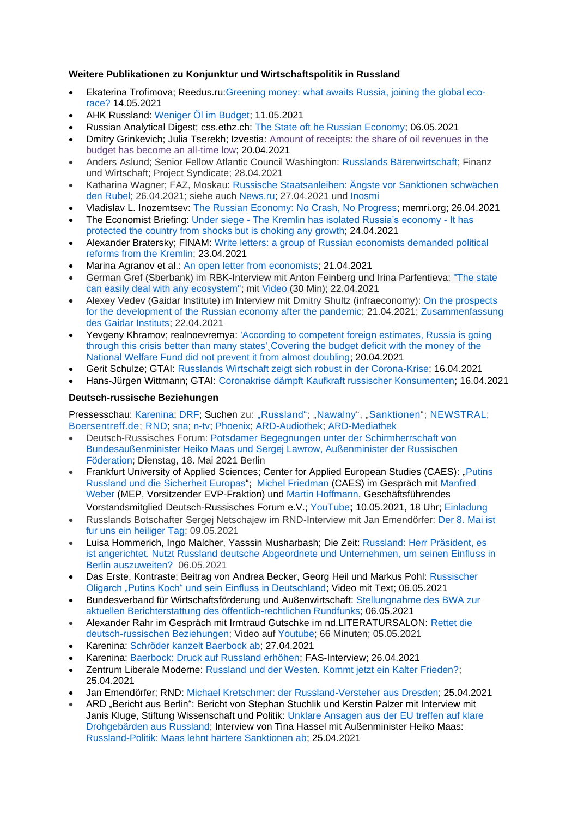# **Weitere Publikationen zu Konjunktur und Wirtschaftspolitik in Russland**

- Ekaterina Trofimova; Reedus.ru[:Greening money: what awaits Russia, joining the global eco](https://www.ridus.ru/news/354095)[race?](https://www.ridus.ru/news/354095) 14.05.2021
- AHK Russland: [Weniger Öl im Budget;](https://russland.ahk.de/infothek/news/detail/weniger-oel-im-budget) 11.05.2021
- Russian Analytical Digest; css.ethz.ch: [The State oft he Russian Economy;](https://css.ethz.ch/content/dam/ethz/special-interest/gess/cis/center-for-securities-studies/pdfs/RAD268.pdf) 06.05.2021
- Dmitry Grinkevich; Julia Tserekh; Izvestia: [Amount of receipts: the share of oil revenues in the](https://iz.ru/1153577/dmitrii-grinkevich-iuliia-tcerekh/chislennost-postupleniia-dolia-neftianykh-dokhodov-v-biudzhete-stala-rekordno-nizkoi)  [budget has become an all-time low;](https://iz.ru/1153577/dmitrii-grinkevich-iuliia-tcerekh/chislennost-postupleniia-dolia-neftianykh-dokhodov-v-biudzhete-stala-rekordno-nizkoi) 20.04.2021
- Anders Aslund; Senior Fellow Atlantic Council Washington: [Russlands Bärenwirtschaft;](https://www.fuw.ch/article/russlands-baerenwirtschaft/) Finanz und Wirtschaft; Project Syndicate; 28.04.2021
- Katharina Wagner; FAZ, Moskau: [Russische Staatsanleihen: Ängste vor Sanktionen schwächen](https://www.faz.net/aktuell/finanzen/russland-wie-die-angst-vor-sanktionen-den-rubel-schwaecht-17307149.html)  [den Rubel;](https://www.faz.net/aktuell/finanzen/russland-wie-die-angst-vor-sanktionen-den-rubel-schwaecht-17307149.html) 26.04.2021; siehe auch [News.ru;](https://news.ru/economics/v-germanii-nazvali-prichinu-upadka-rossijskoj-ekonomiki/?utm_source=yxnews&utm_medium=desktop) 27.04.2021 und [Inosmi](https://inosmi.ru/economic/20210427/249642102.html)
- Vladislav L. Inozemtsev: [The Russian Economy: No Crash, No Progress;](https://www.memri.org/reports/russian-economy-no-crash-no-progress) memri.org; 26.04.2021
- The Economist Briefing: Under siege The Kremlin has isolated Russia's [economy](https://webcache.googleusercontent.com/search?q=cache:pcqcy2pq6gIJ:https://www.economist.com/briefing/2021/04/24/the-kremlin-has-isolated-russias-economy+&cd=17&hl=de&ct=clnk&gl=de&lr=lang_de%7Clang_en) It has [protected the country from shocks but is choking any growth;](https://webcache.googleusercontent.com/search?q=cache:pcqcy2pq6gIJ:https://www.economist.com/briefing/2021/04/24/the-kremlin-has-isolated-russias-economy+&cd=17&hl=de&ct=clnk&gl=de&lr=lang_de%7Clang_en) 24.04.2021
- Alexander Bratersky; FINAM: [Write letters: a group of Russian economists demanded political](https://www.finam.ru/analysis/newsitem/pishite-pisma-gruppa-rossiiyskix-ekonomistov-potrebovala-u-kremlya-politicheskix-reform-20210423-194432/)  [reforms from the Kremlin;](https://www.finam.ru/analysis/newsitem/pishite-pisma-gruppa-rossiiyskix-ekonomistov-potrebovala-u-kremlya-politicheskix-reform-20210423-194432/) 23.04.2021
- Marina Agranov et al.: [An open letter from economists;](https://sites.google.com/view/ruseconopenletter/) 21.04.2021
- German Gref (Sberbank) im RBK-Interview mit Anton Feinberg und Irina Parfentieva: ["The state](https://www.rbc.ru/business/22/04/2021/6078c35c9a79470cc01eb1b4)  [can easily deal with any ecosystem";](https://www.rbc.ru/business/22/04/2021/6078c35c9a79470cc01eb1b4) mit [Video](https://www.youtube.com/watch?v=n-se5wZzi_Q) (30 Min); 22.04.2021
- Alexey Vedev (Gaidar Institute) im Interview mit Dmitry Shultz (infraeconomy): [On the prospects](https://infraeconomy.com/intervyu-s-alekseem-vedevym-2)  [for the development of the Russian economy after the pandemic;](https://infraeconomy.com/intervyu-s-alekseem-vedevym-2) 21.04.2021; [Zusammenfassung](https://www.iep.ru/ru/kommentarii/aleksey-vedev-o-perspektivakh-razvitiya-rossiyskoy-ekonomiki-posle-pandemii.html)  [des Gaidar Instituts;](https://www.iep.ru/ru/kommentarii/aleksey-vedev-o-perspektivakh-razvitiya-rossiyskoy-ekonomiki-posle-pandemii.html) 22.04.2021
- Yevgeny Khramov; realnoevremya: ['According to competent foreign estimates, Russia is going](https://realnoevremya.com/articles/5444-russia-is-going-through-this-crisis-better-than-many-states)  [through this crisis better than many states'¸Covering the budget deficit with the money of the](https://realnoevremya.com/articles/5444-russia-is-going-through-this-crisis-better-than-many-states)  [National Welfare Fund did not prevent it from almost doubling;](https://realnoevremya.com/articles/5444-russia-is-going-through-this-crisis-better-than-many-states) 20.04.2021
- Gerit Schulze; GTAI: [Russlands Wirtschaft zeigt sich robust in der Corona-Krise;](https://www.gtai.de/gtai-de/trade/specials/special/russland/russlands-wirtschaft-zeigt-sich-robust-in-der-coronakrise--242418) 16.04.2021
- Hans-Jürgen Wittmann; GTAI: [Coronakrise dämpft Kaufkraft russischer Konsumenten;](https://www.gtai.de/gtai-de/trade/wirtschaftsumfeld/kaufkraft-und-konsum/russland/coronakrise-daempft-kaufkraft-russischer-konsumenten-628376) 16.04.2021

### **Deutsch-russische Beziehungen**

Pressesschau: [Karenina;](https://www.karenina.de/category/news/presseschau/) [DRF;](https://www.deutsch-russisches-forum.de/category/pressespiegel) Suchen zu: ["Russland";](https://www.weltflimmern.de/russland) ["Nawalny"](https://www.weltflimmern.de/nawalny), ["Sanktionen"](https://www.weltflimmern.de/sanktionen); [NEWSTRAL;](https://newstral.com/de/search/articles?utf8=%E2%9C%93&q=Russland) [Boersentreff.de;](https://www.boersentreff.de/top_news-russland.htm) [RND;](https://www.rnd.de/themen/russland/) [sna;](https://snanews.de/location_russland/) [n-tv;](https://www.n-tv.de/thema/russland) [Phoenix;](https://www.phoenix.de/russland--das-phoenix-jahresthema-2021-a-2060305.html) [ARD-Audiothek;](https://www.ardaudiothek.de/suche?q=Putin%202021) [ARD-Mediathek](https://www.ardmediathek.de/suche/Putin/)

- Deutsch-Russisches Forum: [Potsdamer Begegnungen unter der Schirmherrschaft von](https://www.deutsch-russisches-forum.de/presseeinladung-02-2021/5117139)  [Bundesaußenminister Heiko Maas und Sergej Lawrow, Außenminister der Russischen](https://www.deutsch-russisches-forum.de/presseeinladung-02-2021/5117139)  [Föderation;](https://www.deutsch-russisches-forum.de/presseeinladung-02-2021/5117139) Dienstag, 18. Mai 2021 Berlin
- Frankfurt University of Applied Sciences; Center for Applied European Studies (CAES): "Putins [Russland und die Sicherheit Europas"](https://www.frankfurt-university.de/de/newsmodule/caes/?tx_news_pi1%5Bnews%5D=5986&tx_news_pi1%5Bcontroller%5D=News&tx_news_pi1%5Baction%5D=detail&cHash=73a9f5cefda84d71b97d1f835780265c); [Michel Friedman](https://de.wikipedia.org/wiki/Michel_Friedman#Friedman-Aff%C3%A4re) (CAES) im Gespräch mit [Manfred](https://de.wikipedia.org/wiki/Manfred_Weber_(Politiker))  [Weber](https://de.wikipedia.org/wiki/Manfred_Weber_(Politiker)) (MEP, Vorsitzender EVP-Fraktion) und [Martin Hoffmann,](https://petersburger-dialog.de/personen/martin-hoffmann/) Geschäftsführendes Vorstandsmitglied Deutsch-Russisches Forum e.V.; [YouTube](https://youtu.be/Ayu8_cStNwA); 10.05.2021, 18 Uhr; [Einladung](https://www.frankfurt-university.de/fileadmin/standard/Forschung/CAES/Think_Europe/Russland/Putins_Russland_und_die_Sicherheit_Europas.pdf)
- Russlands Botschafter Sergej Netschajew im RND-Interview mit Jan Emendörfer: [Der 8. Mai ist](https://www.rnd.de/politik/russlands-botschafter-in-berlin-der-8-mai-ist-fuer-uns-ein-heiliger-tag-ALAERCM7NBGUDFMGD6R5P2GHZM.html)  [fur uns ein heiliger Tag;](https://www.rnd.de/politik/russlands-botschafter-in-berlin-der-8-mai-ist-fuer-uns-ein-heiliger-tag-ALAERCM7NBGUDFMGD6R5P2GHZM.html) 09.05.2021
- Luisa Hommerich, Ingo Malcher, Yasssin Musharbash; Die Zeit: Russland: [Herr Präsident, es](https://www.zeit.de/2021/19/russland-einflussnahme-deutschland-abgeordnete-unternehmen-ostsee-konferenz-berlin/komplettansicht)  [ist angerichtet. Nutzt Russland deutsche Abgeordnete und Unternehmen, um seinen Einfluss in](https://www.zeit.de/2021/19/russland-einflussnahme-deutschland-abgeordnete-unternehmen-ostsee-konferenz-berlin/komplettansicht)  [Berlin auszuweiten?](https://www.zeit.de/2021/19/russland-einflussnahme-deutschland-abgeordnete-unternehmen-ostsee-konferenz-berlin/komplettansicht) 06.05.2021
- Das Erste, Kontraste; Beitrag von Andrea Becker, Georg Heil und Markus Pohl: [Russischer](https://www.rbb-online.de/kontraste/archiv/kontraste-vom-06-05-2021/putins-koch-und-sein-einfluss-in-deutschland.html)  [Oligarch "Putins Koch" und sein Einfluss in Deutschland;](https://www.rbb-online.de/kontraste/archiv/kontraste-vom-06-05-2021/putins-koch-und-sein-einfluss-in-deutschland.html) Video mit Text; 06.05.2021
- Bundesverband für Wirtschaftsförderung und Au8enwirtschaft: [Stellungnahme des BWA zur](https://www.bwa-deutschland.com/stellungnahme-des-bwa-zur-aktuellen-berichterstattung-des-oeffentlich-rechtlichen-rundfunks)  [aktuellen Berichterstattung des öffentlich-rechtlichen Rundfunks;](https://www.bwa-deutschland.com/stellungnahme-des-bwa-zur-aktuellen-berichterstattung-des-oeffentlich-rechtlichen-rundfunks) 06.05.2021
- Alexander Rahr im Gespräch mit Irmtraud Gutschke im nd.LITERATURSALON: [Rettet die](https://www.neues-deutschland.de/termine/88481.html)  [deutsch-russischen Beziehungen;](https://www.neues-deutschland.de/termine/88481.html) Video auf [Youtube;](https://www.youtube.com/watch?v=mUC5rZlHuvc) 66 Minuten; 05.05.2021
- Karenina: [Schröder kanzelt Baerbock ab;](https://www.karenina.de/service/presseschau/schroeder-kanzelt-baerbock-ab/) 27.04.2021
- Karenina: [Baerbock: Druck auf Russland erhöhen;](https://www.karenina.de/news/politik/baerbock-druck-auf-russland-erhoehen/) FAS-Interview; 26.04.2021
- Zentrum Liberale Moderne: [Russland und der Westen.](https://russlandverstehen.eu/russland-und-der-westen/) [Kommt jetzt ein Kalter Frieden?;](https://russlandverstehen.eu/russlandkonferenz-2021-diskussion/) 25.04.2021
- Jan Emendörfer; RND: [Michael Kretschmer: der Russland-Versteher aus Dresden;](https://www.rnd.de/politik/michael-kretschmer-der-russland-versteher-aus-dresden-VQPYSGTHBFCRVFQR5GIGWMERIY.html) 25.04.2021
- ARD "Bericht aus Berlin": Bericht von Stephan Stuchlik und Kerstin Palzer mit Interview mit Janis Kluge, Stiftung Wissenschaft und Politik: [Unklare Ansagen aus der EU treffen auf klare](https://www.tagesschau.de/multimedia/video/video-854833.html)  [Drohgebärden aus Russland;](https://www.tagesschau.de/multimedia/video/video-854833.html) Interview von Tina Hassel mit Außenminister Heiko Maas: [Russland-Politik: Maas lehnt härtere Sanktionen ab;](Russland-Politik:%20Maas%20lehnt%20härtere%20Sanktionen%20ab) 25.04.2021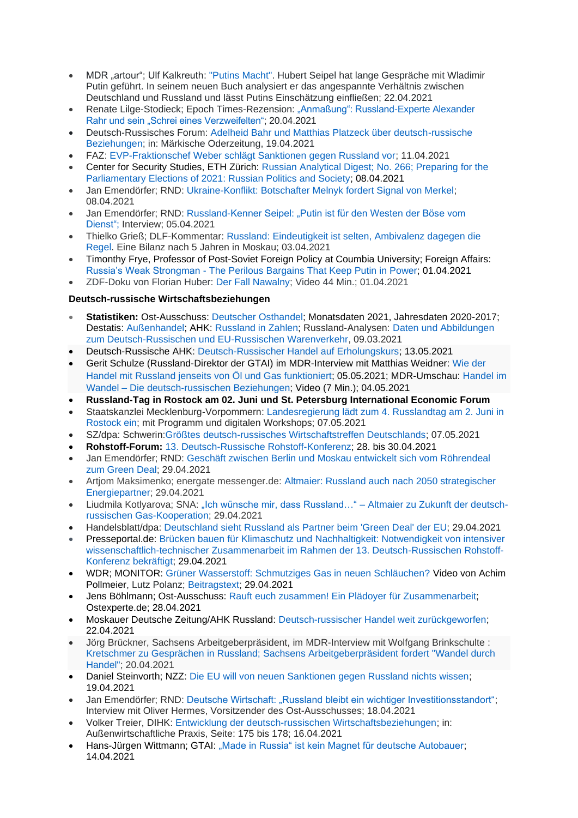- MDR "artour"; Ulf Kalkreuth: ["Putins Macht".](https://www.ardmediathek.de/video/artour/putins-macht-hubert-seipel-und-seine-lesart-des-russischen-praesidenten/mdr-fernsehen/Y3JpZDovL21kci5kZS9iZWl0cmFnL2Ntcy9mNDdlZWJhYS02N2UyLTRiN2QtYWZmYS1kOWI0NjgwZWM4MjU/) Hubert Seipel hat lange Gespräche mit Wladimir Putin geführt. In seinem neuen Buch analysiert er das angespannte Verhältnis zwischen Deutschland und Russland und lässt Putins Einschätzung einfließen; 22.04.2021
- Renate Lilge-Stodieck: Epoch Times-Rezension: "Anmaßung": Russland-Experte Alexander [Rahr und sein "Schrei eines Verzweifelten";](https://www.epochtimes.de/feuilleton/buecher/anmassung-russland-experte-alexander-rahr-und-sein-schrei-eines-verzweifelten-a3495321.html) 20.04.2021
- Deutsch-Russisches Forum: [Adelheid Bahr und Matthias Platzeck über deutsch-russische](https://www.deutsch-russisches-forum.de/adelheid-bahr-und-matthias-platzeck-ueber-deutsch-russische-beziehungen/5115350)  [Beziehungen;](https://www.deutsch-russisches-forum.de/adelheid-bahr-und-matthias-platzeck-ueber-deutsch-russische-beziehungen/5115350) in: Märkische Oderzeitung, 19.04.2021
- FAZ: [EVP-Fraktionschef Weber schlägt Sanktionen gegen Russland vor;](https://www.faz.net/aktuell/politik/ausland/evp-fraktionschef-weber-schlaegt-sanktionen-gegen-russland-vor-17287446.html) 11.04.2021
- Center for Security Studies, ETH Zürich: [Russian Analytical Digest; No. 266; Preparing for the](https://css.ethz.ch/content/dam/ethz/special-interest/gess/cis/center-for-securities-studies/pdfs/RAD266.pdf)  [Parliamentary Elections of 2021: Russian Politics and Society;](https://css.ethz.ch/content/dam/ethz/special-interest/gess/cis/center-for-securities-studies/pdfs/RAD266.pdf) 08.04.2021
- Jan Emendörfer; RND: [Ukraine-Konflikt: Botschafter Melnyk fordert Signal von Merkel;](https://www.rnd.de/politik/ukraine-konflikt-botschafter-melnyk-fordert-signal-von-merkel-57Y2CQV4GFDOFD5V7BMD6ODSIU.html) 08.04.2021
- Jan Emendörfer; RND: [Russland-Kenner Seipel: "Putin ist für den Westen der Böse vom](https://www.rnd.de/politik/russland-kenner-seipel-putin-ist-fur-den-westen-der-bose-vom-dienst-3WPJKLE4BBBF3MS2RVZBN7QZ74.html)  [Dienst";](https://www.rnd.de/politik/russland-kenner-seipel-putin-ist-fur-den-westen-der-bose-vom-dienst-3WPJKLE4BBBF3MS2RVZBN7QZ74.html) Interview; 05.04.2021
- Thielko Grieß; DLF-Kommentar: [Russland: Eindeutigkeit ist selten, Ambivalenz dagegen die](https://www.deutschlandfunk.de/russland-eindeutigkeit-ist-selten-ambivalenz-dagegen-die.720.de.html?dram:article_id=495181)  [Regel.](https://www.deutschlandfunk.de/russland-eindeutigkeit-ist-selten-ambivalenz-dagegen-die.720.de.html?dram:article_id=495181) Eine Bilanz nach 5 Jahren in Moskau; 03.04.2021
- Timonthy Frye, Professor of Post-Soviet Foreign Policy at Coumbia University; Foreign Affairs: Russia's Weak Strongman - [The Perilous Bargains That Keep Putin in Power;](https://www.foreignaffairs.com/articles/russia-fsu/2021-04-01/vladimir-putin-russias-weak-strongman) 01.04.2021
- ZDF-Doku von Florian Huber: [Der Fall Nawalny;](https://www.zdf.de/dokumentation/zdfzeit/zdfzeit-der-fall-nawalny-100.html) Video 44 Min.; 01.04.2021

# **Deutsch-russische Wirtschaftsbeziehungen**

- **Statistiken:** Ost-Ausschuss: [Deutscher Osthandel;](https://www.ost-ausschuss.de/de/statistik) Monatsdaten 2021, Jahresdaten 2020-2017; Destatis: [Außenhandel;](https://www.destatis.de/DE/Themen/Wirtschaft/Aussenhandel/_inhalt.html;jsessionid=981FCD80EFF5D8656DD5D757E4DCD80D.live732) AHK: [Russland in Zahlen;](https://russland.ahk.de/infothek/wirtschaftsdaten) Russland-Analysen: [Daten und Abbildungen](https://www.laender-analysen.de/russland-analysen/399/daten-warenverkehr-russland-deutschland-eu/)  [zum Deutsch-Russischen und EU-Russischen Warenverkehr,](https://www.laender-analysen.de/russland-analysen/399/daten-warenverkehr-russland-deutschland-eu/) 09.03.2021
- Deutsch-Russische AHK: [Deutsch-Russischer Handel auf Erholungskurs;](https://russland.ahk.de/infothek/news/detail/deutsch-russischer-handel-auf-erholungskurs) 13.05.2021
- Gerit Schulze (Russland-Direktor der GTAI) im MDR-Interview mit Matthias Weidner: [Wie](https://www.mdr.de/nachrichten/deutschland/wirtschaft/russland-handelsbeziehungen-export-produkte-100.html) der Handel mit Russland jenseits von Öl und Gas [funktioniert;](https://www.mdr.de/nachrichten/deutschland/wirtschaft/russland-handelsbeziehungen-export-produkte-100.html) 05.05.2021; MDR-Umschau: [Handel](https://www.mdr.de/tv/programm/video-515496_zc-12fce4ab_zs-6102e94c.html) im Wandel – Die [deutsch-russischen](https://www.mdr.de/tv/programm/video-515496_zc-12fce4ab_zs-6102e94c.html) Beziehungen; Video (7 Min.); 04.05.2021
- **Russland-Tag in Rostock am 02. Juni und St. Petersburg International Economic Forum**
- Staatskanzlei Mecklenburg-Vorpommern: [Landesregierung lädt zum 4. Russlandtag am 2. Juni in](https://www.regierung-mv.de/Aktuell/?id=169763&processor=processor.sa.pressemitteilung)  [Rostock ein;](https://www.regierung-mv.de/Aktuell/?id=169763&processor=processor.sa.pressemitteilung) mit Programm und digitalen Workshops; 07.05.2021
- SZ/dpa: Schwerin[:Größtes deutsch-russisches Wirtschaftstreffen Deutschlands;](https://www.sueddeutsche.de/politik/wirtschaftspolitik-schwerin-groesstes-deutsch-russisches-wirtschaftstreffen-deutschlands-dpa.urn-newsml-dpa-com-20090101-210507-99-505964) 07.05.2021
- **Rohstoff-Forum:** [13. Deutsch-Russische Rohstoff-Konferenz;](https://www.rohstoff-forum.org/conference/13-deutsch-russische-rohstoff-konferenz/) 28. bis 30.04.2021
- Jan Emendörfer; RND: [Geschäft zwischen Berlin und Moskau entwickelt sich vom Röhrendeal](https://www.rnd.de/politik/deutschland-und-russland-rohstoffkonferenz-uber-alternative-energien-und-nord-stream-2-VHJGITXEH5EABKRTKHT7MOG5HE.html)  [zum Green Deal;](https://www.rnd.de/politik/deutschland-und-russland-rohstoffkonferenz-uber-alternative-energien-und-nord-stream-2-VHJGITXEH5EABKRTKHT7MOG5HE.html) 29.04.2021
- Artjom Maksimenko; energate messenger.de: [Altmaier: Russland auch nach 2050 strategischer](https://www.energate-messenger.de/news/211772/altmaier-russland-auch-nach-2050-strategischer-energiepartner)  [Energiepartner;](https://www.energate-messenger.de/news/211772/altmaier-russland-auch-nach-2050-strategischer-energiepartner) 29.04.2021
- Liudmila Kotlyarova; SNA: ["Ich wünsche mir, dass Russland…" –](https://snanews.de/20210429/altmaier-gas-kooperation-1901938.html) Altmaier zu Zukunft der deutsch[russischen Gas-Kooperation;](https://snanews.de/20210429/altmaier-gas-kooperation-1901938.html) 29.04.2021
- Handelsblatt/dpa: [Deutschland](https://www.handelsblatt.com/dpa/konjunktur/wirtschaft-handel-und-finanzen-deutschland-sieht-russland-als-partner-beim-green-deal-der-eu/27143508.html?) sieht Russland als Partner beim 'Green Deal' der EU; 29.04.2021
- Presseportal.de: [Brücken bauen für Klimaschutz und Nachhaltigkeit: Notwendigkeit von intensiver](https://www.presseportal.de/pm/155284/4903008)  [wissenschaftlich-technischer Zusammenarbeit im Rahmen der 13. Deutsch-Russischen Rohstoff-](https://www.presseportal.de/pm/155284/4903008)[Konferenz bekräftigt;](https://www.presseportal.de/pm/155284/4903008) 29.04.2021
- WDR; MONITOR: [Grüner Wasserstoff: Schmutziges Gas in neuen Schläuchen?](https://www1.wdr.de/daserste/monitor/sendungen/gruener-wasserstoff-104.html) Video von Achim Pollmeier, Lutz Polanz; [Beitragstext;](https://www1.wdr.de/daserste/monitor/sendungen/pdf-1324.pdf) 29.04.2021
- Jens Böhlmann; Ost-Ausschuss: [Rauft euch zusammen! Ein Plädoyer für Zusammenarbeit;](https://ostexperte.de/rauft-euch-zusammen-ein-plaedoyer-fuer-zusammenarbeit/) Ostexperte.de; 28.04.2021
- Moskauer Deutsche Zeitung/AHK Russland: [Deutsch-russischer Handel weit zurückgeworfen;](https://mdz-moskau.eu/deutsch-russischer-handel-weit-zurueckgeworfen/) 22.04.2021
- Jörg Brückner, Sachsens Arbeitgeberpräsident, im MDR-Interview mit Wolfgang Brinkschulte : Kretschmer zu Gesprächen in Russland; Sachsens [Arbeitgeberpräsident](https://www.mdr.de/nachrichten/deutschland/wirtschaft/russland-wirtschaftsbeziehungen-kretschmer-reise-100.html#sprung0) fordert "Wandel durch [Handel";](https://www.mdr.de/nachrichten/deutschland/wirtschaft/russland-wirtschaftsbeziehungen-kretschmer-reise-100.html#sprung0) 20.04.2021
- Daniel Steinvorth; NZZ: [Die EU will von neuen Sanktionen gegen Russland nichts wissen;](https://www.nzz.ch/international/die-eu-will-von-neuen-sanktionen-gegen-russland-nichts-wissen-ld.1612785) 19.04.2021
- Jan Emendörfer; RND: [Deutsche Wirtschaft: "Russland bleibt ein wichtiger Investitionsstandort";](https://www.rnd.de/politik/deutsche-wirtschaft-russland-bleibt-ein-wichtiger-investitionsstandort-L6PP6XTGYBBQTEU6UYKKHWPEFU.html) Interview mit Oliver Hermes, Vorsitzender des Ost-Ausschusses; 18.04.2021
- Volker Treier, DIHK: [Entwicklung der deutsch-russischen Wirtschaftsbeziehungen;](https://mcusercontent.com/8fdd7414d9cadd57fd1dca5f7/files/0b43bb8d-0eac-6fca-e58d-4d2249d07c63/Entwicklung_der_deutsch_russischen_Wirtschaftsbeziehungen.01.pdf) in: Außenwirtschaftliche Praxis, Seite: 175 bis 178; 16.04.2021
- Hans-Jürgen Wittmann; GTAI: ["Made in Russia" ist kein Magnet für deutsche Autobauer;](https://www.gtai.de/gtai-de/trade/specials/branchenbericht/russland/-made-in-russia-ist-kein-magnet-fuer-deutsche-autobauer-622872) 14.04.2021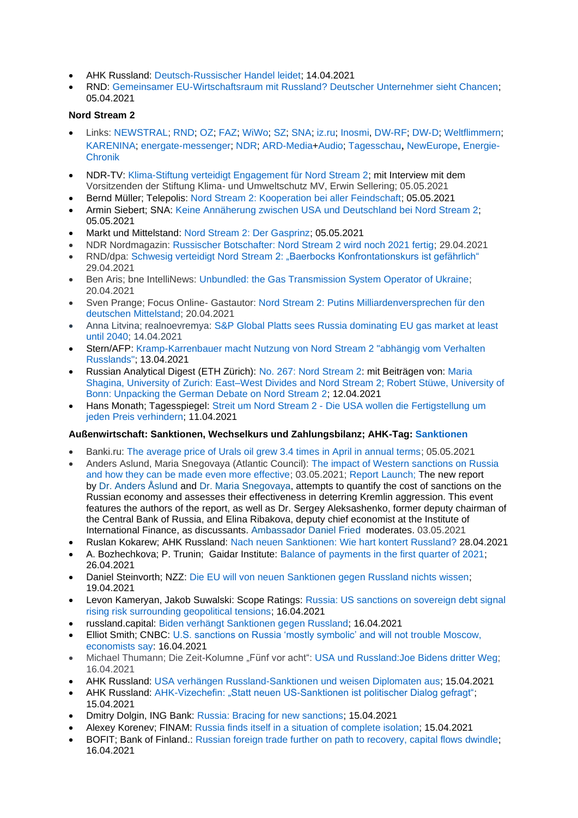- AHK Russland: [Deutsch-Russischer Handel leidet;](https://russland.ahk.de/infothek/news/detail/deutsch-russischer-handel-leidet) 14.04.2021
- RND: [Gemeinsamer EU-Wirtschaftsraum mit Russland? Deutscher Unternehmer sieht Chancen;](https://www.rnd.de/wirtschaft/gemeinsamer-eu-wirtschaftsraum-mit-russland-deutscher-unternehmer-sieht-chancen-FM7VQGDYWQMRW7VKULOIYLH5S4.html) 05.04.2021

### **Nord Stream 2**

- Links: [NEWSTRAL;](https://newstral.com/de/search/articles?utf8=%E2%9C%93&q=Nord+Stream) [RND;](https://www.rnd.de/themen/nord-stream-2/) [OZ;](https://www.ostsee-zeitung.de/nordstream-2) [FAZ;](https://www.faz.net/aktuell/wirtschaft/thema/nord-stream-2) [WiWo;](https://www.wiwo.de/suche/?sw=Nord%20Stream) [SZ;](https://www.sueddeutsche.de/thema/Nord_Stream_2) [SNA;](https://snanews.de/product_nord-stream-2/) [iz.ru;](https://iz.ru/tag/severnyi-potok-2) [Inosmi,](https://inosmi.ru/tags/product_Severnyjj_potok_2/) [DW-RF;](https://www.dw.com/ru/nord-stream-kompanija/t-17949730) [DW-D;](https://www.dw.com/search/de?languageCode=de&origin=gN&item=Pipeline&searchNavigationId=9077) [Weltflimmern;](https://www.weltflimmern.de/nord%20stream%202) [KARENINA;](https://www.karenina.de/category/news/wirtschaft/?seotag=Nord+Stream+2) [energate-messenger;](https://www.energate-messenger.de/themen/Nord-Stream-2?) [NDR;](https://www.ndr.de/nachrichten/info/Erdgas,erdgas213.html) [ARD-Media](https://www.ardmediathek.de/suche/Nord%20Stream/)[+Audio;](https://www.ardaudiothek.de/suche?q=Nord%20%20Stream) [Tagesschau](https://www.tagesschau.de/thema/nord_stream_2/), [NewEurope,](https://www.neweurope.eu/author/kostis-geropoulos/) [Energie-](https://www.udo-leuschner.de/energie-chronik/ypipelines.htm#nordstream)[Chronik](https://www.udo-leuschner.de/energie-chronik/ypipelines.htm#nordstream)
- NDR-TV: [Klima-Stiftung verteidigt Engagement für Nord Stream 2;](https://www.ndr.de/nachrichten/mecklenburg-vorpommern/Klima-Stiftung-verteidigt-Engagement-fuer-Nord-Stream-2,nordstream590.html) mit Interview mit dem Vorsitzenden der Stiftung Klima- und Umweltschutz MV, Erwin Sellering; 05.05.2021
- Bernd Müller; Telepolis: [Nord Stream 2: Kooperation bei aller Feindschaft;](https://www.heise.de/tp/features/Nord-Stream-2-Kooperation-bei-aller-Feindschaft-6037516.html) 05.05.2021
- Armin Siebert; SNA: [Keine Annäherung zwischen USA und Deutschland bei Nord Stream 2;](https://snanews.de/20210505/annaeherung-usa-deutschland-pipeline-1975680.html) 05.05.2021
- Markt und Mittelstand: [Nord Stream 2: Der Gasprinz;](https://www.marktundmittelstand.de/technologie/der-gasprinz-1297751/) 05.05.2021
- NDR Nordmagazin: [Russischer Botschafter: Nord Stream 2 wird noch 2021 fertig;](https://www.ndr.de/nachrichten/mecklenburg-vorpommern/Russischer-Botschafter-Nord-Stream-2-wird-noch-2021-fertig,nordstream588.html) 29.04.2021
- RND/dpa: Schwesig verteidigt Nord Stream [2: "Baerbocks Konfrontationskurs ist gefährlich"](https://www.rnd.de/politik/schwesig-verteidigt-nord-stream-2-kritik-von-baerbock-und-grunen-U6TT5C6CKVD4JG3Y7XPCRZI2IU.html) 29.04.2021
- Ben Aris; bne IntelliNews: [Unbundled: the Gas Transmission System Operator of Ukraine;](https://www.intellinews.com/unbundled-the-gas-transmission-system-operator-of-ukraine-208228/?source=russia&utm_source=Newsletter&utm_medium=Email&utm_campaign=Edpicks) 20.04.2021
- Sven Prange; Focus Online- Gastautor: [Nord Stream 2: Putins Milliardenversprechen für den](https://www.focus.de/finanzen/boerse/wegducken-und-weiterbauen-abhaengig-von-putin-das-nord-stream-2-milliardenversprechen-fuer-den-deutschen-mittelstand_id_13208073.html)  [deutschen Mittelstand;](https://www.focus.de/finanzen/boerse/wegducken-und-weiterbauen-abhaengig-von-putin-das-nord-stream-2-milliardenversprechen-fuer-den-deutschen-mittelstand_id_13208073.html) 20.04.2021
- Anna Litvina; realnoevremya: S&P Global Platts sees Russia dominating EU gas market at least [until 2040;](https://realnoevremya.com/articles/5420-sp-global-platts-sees-russia-dominating-eu-gas-market-at-least-until-2040) 14.04.2021
- Stern/AFP: [Kramp-Karrenbauer macht Nutzung von Nord Stream 2 "abhängig vom Verhalten](https://www.stern.de/news/kramp-karrenbauer-macht-nutzung-von-nord-stream-2--abhaengig-vom-verhalten-russlands--30475386.html?utm_campaign=alle&utm_medium=rss-feed&utm_source=standard)  [Russlands";](https://www.stern.de/news/kramp-karrenbauer-macht-nutzung-von-nord-stream-2--abhaengig-vom-verhalten-russlands--30475386.html?utm_campaign=alle&utm_medium=rss-feed&utm_source=standard) 13.04.2021
- Russian Analytical Digest (ETH Zürich): [No. 267: Nord Stream 2:](https://css.ethz.ch/publikationen/russian-analytical-digest/details.html?id=/n/o/r/d/nord_stream_ii) mit Beiträgen von: [Maria](https://css.ethz.ch/content/dam/ethz/special-interest/gess/cis/center-for-securities-studies/pdfs/RAD267.pdf)  [Shagina, University of Zurich: East–West Divides and Nord Stream 2; Robert Stüwe, University of](https://css.ethz.ch/content/dam/ethz/special-interest/gess/cis/center-for-securities-studies/pdfs/RAD267.pdf)  [Bonn: Unpacking the German Debate on Nord Stream 2;](https://css.ethz.ch/content/dam/ethz/special-interest/gess/cis/center-for-securities-studies/pdfs/RAD267.pdf) 12.04.2021
- Hans Monath; Tagesspiegel: Streit um Nord Stream 2 Die USA wollen die [Fertigstellung](https://www.tagesspiegel.de/wirtschaft/streit-um-nord-stream-2-die-usa-wollen-die-fertigstellung-um-jeden-preis-verhindern/27084866.html) um jeden Preis [verhindern;](https://www.tagesspiegel.de/wirtschaft/streit-um-nord-stream-2-die-usa-wollen-die-fertigstellung-um-jeden-preis-verhindern/27084866.html) 11.04.2021

# **Außenwirtschaft: Sanktionen, Wechselkurs und Zahlungsbilanz; AHK-Tag: [Sanktionen](https://russland.ahk.de/recht/sanktionen#c272192)**

- Banki.ru: [The average price of Urals oil grew 3.4 times in April in annual terms;](https://www.banki.ru/news/lenta/?id=10945963) 05.05.2021
- Anders Aslund, Maria Snegovaya (Atlantic Council): [The impact of Western sanctions on Russia](https://www.atlanticcouncil.org/in-depth-research-reports/report/the-impact-of-western-sanctions-on-russia/)  [and how they can be made even more effective;](https://www.atlanticcouncil.org/in-depth-research-reports/report/the-impact-of-western-sanctions-on-russia/) 03.05.2021; [Report Launch;](https://www.atlanticcouncil.org/event/the-impact-of-western-sanctions-on-russia/) The new report by [Dr. Anders Åslund](https://www.atlanticcouncil.org/expert/anders-aslund/) and [Dr. Maria Snegovaya,](https://www.atlanticcouncil.org/expert/maria-snegovaya/) attempts to quantify the cost of sanctions on the Russian economy and assesses their effectiveness in deterring Kremlin aggression. This event features the authors of the report, as well as Dr. Sergey Aleksashenko, former deputy chairman of the Central Bank of Russia, and Elina Ribakova, deputy chief economist at the Institute of International Finance, as discussants. [Ambassador Daniel Fried](https://www.atlanticcouncil.org/expert/daniel-fried/) moderates. 03.05.2021
- Ruslan Kokarew; AHK Russland: [Nach neuen Sanktionen: Wie hart kontert Russland?](https://russland.ahk.de/infothek/news/detail/nach-neuen-sanktionen-wie-hart-kontert-russland) 28.04.2021
- A. Bozhechkova; P. Trunin; Gaidar Institute: [Balance of payments in the first quarter of 2021;](https://www.iep.ru/ru/monitoring/platezhnyy-balans-v-i-kvartale-2021-goda.html) 26.04.2021
- Daniel Steinvorth; NZZ: [Die EU will von neuen Sanktionen gegen Russland nichts wissen;](https://www.nzz.ch/international/die-eu-will-von-neuen-sanktionen-gegen-russland-nichts-wissen-ld.1612785) 19.04.2021
- Levon Kameryan, Jakob Suwalski: Scope Ratings: [Russia: US sanctions on sovereign debt signal](https://scoperatings.com/#search/research/detail/167198EN)  [rising risk surrounding geopolitical tensions;](https://scoperatings.com/#search/research/detail/167198EN) 16.04.2021
- russland.capital: [Biden verhängt Sanktionen gegen Russland;](https://www.russland.capital/biden-verhaengt-sanktionen-gegen-russland) 16.04.2021
- Elliot Smith; CNBC: [U.S. sanctions on Russia 'mostly symbolic' and will not trouble Moscow,](https://www.cnbc.com/2021/04/16/economists-us-sanctions-mostly-symbolic-and-wont-trouble-russia.html)  [economists say:](https://www.cnbc.com/2021/04/16/economists-us-sanctions-mostly-symbolic-and-wont-trouble-russia.html) 16.04.2021
- Michael Thumann; Die Zeit-Kolumne "Fünf vor acht": USA und Russland: Joe Bidens dritter Weg; 16.04.2021
- AHK Russland: [USA verhängen Russland-Sanktionen und weisen Diplomaten aus;](https://russland.ahk.de/infothek/news/detail/usa-verhaengen-russland-sanktionen-und-weisen-diplomaten-aus) 15.04.2021
- AHK Russland: [AHK-Vizechefin: "Statt neuen US-Sanktionen ist politischer Dialog gefragt";](https://russland.ahk.de/infothek/news/detail/ahk-russland-statt-neuen-us-sanktionen-ist-politischer-dialog-gefragt) 15.04.2021
- Dmitry Dolgin, ING Bank: [Russia: Bracing for new sanctions;](https://think.ing.com/snaps/russia-bracing-for-new-sanctions/) 15.04.2021
- Alexey Korenev; FINAM: [Russia finds itself in a situation of complete isolation;](https://www.finam.ru/analysis/forecasts/rossiya-popadaet-v-situaciyu-polnoiy-izolyacii-20210415-19591/) 15.04.2021
- BOFIT; Bank of Finland.: [Russian foreign trade further on path to recovery, capital flows dwindle;](https://www.bofit.fi/en/monitoring/weekly/2021/vw202115_2/) 16.04.2021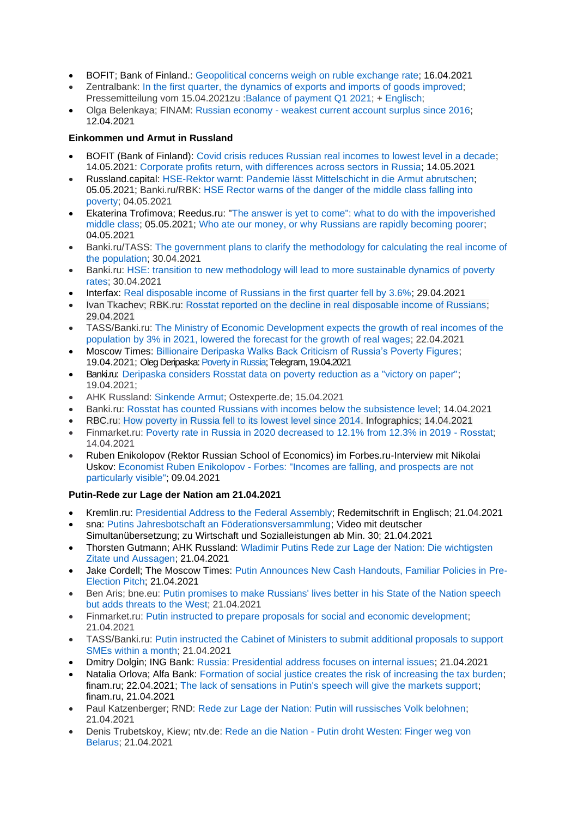- BOFIT; Bank of Finland.: [Geopolitical concerns weigh on ruble exchange rate;](https://www.bofit.fi/en/monitoring/weekly/2021/vw202115_3/) 16.04.2021
- Zentralbank: In the first quarter, the dynamics of exports and imports of goods [improved;](http://cbr.ru/press/event/?id=9772) Pressemitteilung vom 15.04.2021zu :Balance of [payment](http://cbr.ru/Collection/Collection/File/32216/Balance_of_Payments_2021-01_7.pdf) Q1 2021; + [Englisch;](http://www.cbr.ru/eng/analytics/dkp/bal/)
- Olga Belenkaya; FINAM: Russian economy [weakest current account surplus since 2016;](https://www.finam.ru/analysis/forecasts/rossiiyskaya-ekonomika-samoe-slaboe-znachenie-proficita-scheta-tekushix-operaciiy-s-2016-goda-20210412-10192/) 12.04.2021

# **Einkommen und Armut in Russland**

- BOFIT (Bank of Finland): [Covid crisis reduces Russian real incomes to lowest level in a decade;](https://www.bofit.fi/en/monitoring/weekly/2021/vw202119_1/) 14.05.2021: [Corporate profits return, with differences across sectors in Russia;](https://www.bofit.fi/en/monitoring/weekly/2021/vw202119_3/) 14.05.2021
- Russland.capital: [HSE-Rektor warnt: Pandemie lässt Mittelschicht in die Armut abrutschen;](https://www.russland.capital/hse-rektor-warnt-pandemie-laesst-mittelschicht-in-die-armut-abrutschen) 05.05.2021; Banki.ru/RBK: [HSE Rector warns of the danger of the middle class falling into](https://www.banki.ru/news/lenta/?id=10945941)  [poverty;](https://www.banki.ru/news/lenta/?id=10945941) 04.05.2021
- Ekaterina Trofimova; Reedus.ru: ["The answer is yet to come": what to do with the impoverished](https://www.ridus.ru/news/353506)  [middle class;](https://www.ridus.ru/news/353506) 05.05.2021; [Who ate our money, or why Russians are rapidly becoming poorer;](https://www.ridus.ru/news/353339) 04.05.2021
- Banki.ru/TASS: [The government plans to clarify the methodology for calculating the real income of](https://www.banki.ru/news/lenta/?id=10945882)  [the population;](https://www.banki.ru/news/lenta/?id=10945882) 30.04.2021
- Banki.ru: [HSE: transition to new methodology will lead to more sustainable dynamics of poverty](https://www.banki.ru/news/lenta/?id=10945842)  [rates;](https://www.banki.ru/news/lenta/?id=10945842) 30.04.2021
- Interfax: [Real disposable income of Russians in the first quarter fell by 3.6%;](https://www.interfax.ru/business/763989) 29.04.2021
- Ivan Tkachev; RBK.ru: [Rosstat reported on the decline in real disposable income of Russians;](https://www.rbc.ru/economics/29/04/2021/608abee49a79476629102b9b) 29.04.2021
- TASS/Banki.ru: [The Ministry of Economic Development expects the growth of real incomes of the](https://www.banki.ru/news/lenta/?id=10945365)  [population by 3% in 2021, lowered the forecast for the growth of real wages;](https://www.banki.ru/news/lenta/?id=10945365) 22.04.2021
- Moscow Times: [Billionaire Deripaska Walks Back Criticism of Russia's Poverty Figures;](https://www.themoscowtimes.com/2021/04/19/billionaire-deripaska-walks-back-criticism-of-russias-poverty-figures-a73659) 19.04.2021; Oleg Deripaska[: Poverty in Russia;](https://t.me/olegderipaska/240) Telegram, 19.04.2021
- Banki.ru: [Deripaska considers Rosstat data on poverty reduction as a "victory on paper";](https://www.banki.ru/news/lenta/?id=10945135) 19.04.2021;
- AHK Russland: [Sinkende Armut;](https://ostexperte.de/sinkende-armut/) Ostexperte.de; 15.04.2021
- Banki.ru: [Rosstat has counted Russians with incomes below the subsistence level;](https://www.banki.ru/news/lenta/?id=10944895) 14.04.2021
- RBC.ru: [How poverty in Russia fell to its lowest level since 2014.](https://www.rbc.ru/economics/14/04/2021/60774d779a794796ccb52627) Infographics; 14.04.2021
- Finmarket.ru: [Poverty rate in Russia in 2020 decreased to 12.1% from 12.3% in 2019 -](http://www.finmarket.ru/news/5450121?utm_source=yxnews&utm_medium=desktop&utm_referrer=https%3A%2F%2Fyandex.ru%2Fnews%2Fstory%2FRosstat_otmetil_snizhenie_urovnya_bednosti_vRossii--6cc44448e5a4717b7ba4f790fb0780b7) Rosstat; 14.04.2021
- Ruben Enikolopov (Rektor Russian School of Economics) im Forbes.ru-Interview mit Nikolai Uskov: Economist Ruben Enikolopov - [Forbes: "Incomes are falling, and prospects are not](https://www.forbes.ru/finansy-i-investicii/425807-ekonomist-ruben-enikolopov-forbes-dohody-padayut-i-perspektiv-osobo-ne)  [particularly visible";](https://www.forbes.ru/finansy-i-investicii/425807-ekonomist-ruben-enikolopov-forbes-dohody-padayut-i-perspektiv-osobo-ne) 09.04.2021

# **Putin-Rede zur Lage der Nation am 21.04.2021**

- Kremlin.ru: [Presidential Address to](http://en.kremlin.ru/events/president/news/65418) the Federal Assembly; Redemitschrift in Englisch; 21.04.2021
- sna: [Putins Jahresbotschaft an Föderationsversammlung;](https://snanews.de/20210421/putins-jahresbotschaft-foederationsversammlung-1794489.html) Video mit deutscher Simultanübersetzung; zu Wirtschaft und Sozialleistungen ab Min. 30; 21.04.2021
- Thorsten Gutmann; AHK Russland: [Wladimir Putins Rede zur Lage der Nation: Die wichtigsten](https://russland.ahk.de/infothek/news/detail/wladimir-putins-rede-zur-lage-der-nation-die-wichtigsten-zitate-und-aussagen)  [Zitate und Aussagen;](https://russland.ahk.de/infothek/news/detail/wladimir-putins-rede-zur-lage-der-nation-die-wichtigsten-zitate-und-aussagen) 21.04.2021
- Jake Cordell; The Moscow Times: [Putin Announces New Cash Handouts, Familiar Policies in Pre-](https://www.themoscowtimes.com/2021/04/21/putin-announces-new-cash-handouts-familiar-policies-in-pre-election-pitch-a73688)[Election Pitch;](https://www.themoscowtimes.com/2021/04/21/putin-announces-new-cash-handouts-familiar-policies-in-pre-election-pitch-a73688) 21.04.2021
- Ben Aris; bne.eu: [Putin promises to make Russians' lives better in his State of the Nation speech](https://bne.eu/putin-promises-to-make-russians-lives-better-in-his-state-of-the-nation-speech-but-adds-threats-to-the-west-208696/)  [but adds threats to the West;](https://bne.eu/putin-promises-to-make-russians-lives-better-in-his-state-of-the-nation-speech-but-adds-threats-to-the-west-208696/) 21.04.2021
- Finmarket.ru: [Putin instructed to prepare proposals for social and economic development;](http://www.finmarket.ru/main/article/5454907) 21.04.2021
- TASS/Banki.ru: [Putin instructed the Cabinet of Ministers to submit additional proposals to support](https://www.banki.ru/news/lenta/?id=10945313)  [SMEs within a month;](https://www.banki.ru/news/lenta/?id=10945313) 21.04.2021
- Dmitry Dolgin; ING Bank: [Russia: Presidential address focuses on internal issues;](https://think.ing.com/snaps/russia-presidential-address-focuses-on-internal-issues/) 21.04.2021
- Natalia Orlova; Alfa Bank: [Formation of social justice creates the risk of increasing the tax burden;](https://www.finam.ru/analysis/marketnews/formirovanie-socialnoiy-spravedlivoiy-sozdaet-risk-povysheniya-nalogovoiy-nagruzki-20210422-11450/) finam.ru; 22.04.2021; [The lack of sensations in Putin's speech will give the markets support;](https://www.finam.ru/analysis/marketnews/otsutstvie-sensaciiy-v-vystuplenii-putina-dast-rynkam-podderzhku-20210421-16500/) finam.ru, 21.04.2021
- Paul Katzenberger; RND: [Rede zur Lage der Nation: Putin will russisches Volk belohnen;](https://www.rnd.de/politik/rede-zur-lage-der-nation-putin-will-russisches-volk-belohnen-YM4Z2Z4EWNEQTMWSBEIOJ74NKY.html) 21.04.2021
- Denis Trubetskoy, Kiew; ntv.de: Rede an die Nation [Putin droht Westen: Finger weg von](https://www.n-tv.de/politik/Putin-droht-Westen-Finger-weg-von-Belarus-article22505467.html)  [Belarus;](https://www.n-tv.de/politik/Putin-droht-Westen-Finger-weg-von-Belarus-article22505467.html) 21.04.2021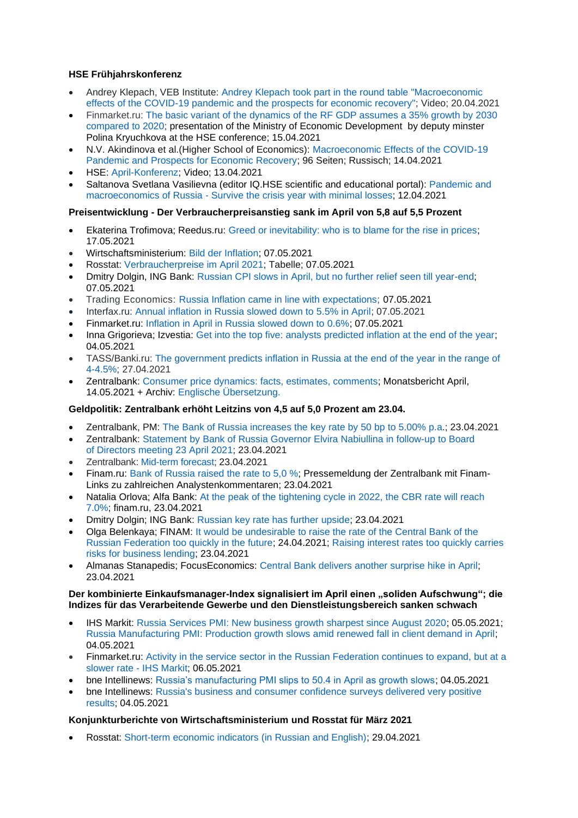# **HSE Frühjahrskonferenz**

- Andrey Klepach, VEB Institute: [Andrey Klepach took part in the round table "Macroeconomic](http://inveb.ru/ru/news/596-andrej-klepach-prinyal-uchastie-v-kruglom-stole-makroekonomicheskie-effekty-pandemii-covid-19-i-perspektivy-vosstanovleniya-ekonomiki)  [effects of the COVID-19 pandemic and the prospects for](http://inveb.ru/ru/news/596-andrej-klepach-prinyal-uchastie-v-kruglom-stole-makroekonomicheskie-effekty-pandemii-covid-19-i-perspektivy-vosstanovleniya-ekonomiki) economic recovery"; Video; 20.04.2021
- Finmarket.ru: [The basic variant of the dynamics of the RF GDP assumes a 35% growth by 2030](http://www.finmarket.ru/news/5450864)  [compared to 2020;](http://www.finmarket.ru/news/5450864) presentation of the Ministry of Economic Development by deputy minster Polina Kryuchkova at the HSE conference; 15.04.2021
- N.V. Akindinova et al.(Higher School of Economics): [Macroeconomic Effects of the COVID-19](https://conf.hse.ru/mirror/pubs/share/460914594.pdf)  [Pandemic and Prospects for Economic Recovery;](https://conf.hse.ru/mirror/pubs/share/460914594.pdf) 96 Seiten; Russisch; 14.04.2021
- HSE: [April-Konferenz;](https://www.youtube.com/watch?v=8Srupbd3Tb0) Video; 13.04.2021
- Saltanova Svetlana Vasilievna (editor IQ.HSE scientific and educational portal): [Pandemic](https://iq.hse.ru/news/459867364.html) and [macroeconomics](https://iq.hse.ru/news/459867364.html) of Russia - Survive the crisis year with minimal losses; 12.04.2021

### **Preisentwicklung - Der Verbraucherpreisanstieg sank im April von 5,8 auf 5,5 Prozent**

- Ekaterina Trofimova; Reedus.ru: [Greed or inevitability: who is to blame for the rise in prices;](https://www.ridus.ru/news/354172) 17.05.2021
- Wirtschaftsministerium: [Bild der Inflation;](https://economy.gov.ru/material/directions/makroec/ekonomicheskie_obzory/) 07.05.2021
- Rosstat: [Verbraucherpreise im April 2021;](https://gks.ru/bgd/free/B04_03/IssWWW.exe/Stg/d02/84.htm) Tabelle; 07.05.2021
- Dmitry Dolgin, ING Bank: [Russian CPI slows in April, but no further relief seen till year-end;](https://think.ing.com/snaps/russian-cpi-slows-in-april-but-no-further-relief-seen-till-year-end/) 07.05.2021
- Trading Economics: [Russia Inflation came in line with expectations;](https://tradingeconomics.com/russia/inflation-cpi) 07.05.2021
- Interfax.ru: [Annual inflation in Russia slowed down to 5.5% in April;](https://www.interfax.ru/business/765045) 07.05.2021
- Finmarket.ru: [Inflation in April in Russia slowed down to 0.6%;](http://www.finmarket.ru/main/article/5465438) 07.05.2021
- Inna Grigorieva; Izvestia: [Get into the top five: analysts predicted inflation at the end of the year;](https://iz.ru/1159219/inna-grigoreva/popast-v-piaterku-analitiki-sprognozirovali-infliatciiu-na-konetc-goda) 04.05.2021
- TASS/Banki.ru: [The government predicts inflation in Russia at the end of the year in the range of](https://www.banki.ru/news/lenta/?id=10945669)  [4-4.5%;](https://www.banki.ru/news/lenta/?id=10945669) 27.04.2021
- Zentralbank: [Consumer price dynamics: facts, estimates, comments;](http://cbr.ru/analytics/dkp/dinamic/) Monatsbericht April, 14.05.2021 + Archiv: [Englische Übersetzung.](http://cbr.ru/eng/analytics/dkp/dinamic/)

#### **Geldpolitik: Zentralbank erhöht Leitzins von 4,5 auf 5,0 Prozent am 23.04.**

- Zentralbank, PM: The Bank of [Russia increases the](https://www.cbr.ru/eng/press/pr/?file=23042021_133000key_eng.htm) key rate by 50 bp to 5.00% p.a.; 23.04.2021
- Zentralbank: Statement by Bank of [Russia Governor Elvira Nabiullina in](https://www.cbr.ru/eng/press/event/?id=9790) follow-up to Board of [Directors meeting 23](https://www.cbr.ru/eng/press/event/?id=9790) April 2021; 23.04.2021
- Zentralbank: [Mid-term forecast;](https://www.cbr.ru/Collection/Collection/File/32223/forecast_210423_e.pdf) 23.04.2021
- Finam.ru: [Bank of Russia raised the rate to 5,0 %;](https://www.finam.ru/analysis/newsitem/bank-rossii-povysil-stavku-do-5-20210423-133040/) Pressemeldung der Zentralbank mit Finam-Links zu zahlreichen Analystenkommentaren; 23.04.2021
- Natalia Orlova; Alfa Bank: [At the peak of the tightening cycle in 2022, the CBR rate will reach](https://www.finam.ru/analysis/marketnews/na-pike-cikla-uzhestocheniya-v-2022-godu-stavka-cb-rf-dostignet-7-0-20210423-19450/)  [7.0%;](https://www.finam.ru/analysis/marketnews/na-pike-cikla-uzhestocheniya-v-2022-godu-stavka-cb-rf-dostignet-7-0-20210423-19450/) finam.ru, 23.04.2021
- Dmitry Dolgin; ING Bank: [Russian key rate has further upside;](https://think.ing.com/snaps/russia-key-rate-review-april-2020/) 23.04.2021
- Olga Belenkaya; FINAM: [It would be undesirable to raise the rate of the Central Bank of the](https://www.finam.ru/analysis/forecasts/slishkom-bystroe-povyshenie-stavki-cb-rf-v-budushem-bylo-by-nezhelatelno-20210424-135136/)  [Russian Federation too quickly in the future;](https://www.finam.ru/analysis/forecasts/slishkom-bystroe-povyshenie-stavki-cb-rf-v-budushem-bylo-by-nezhelatelno-20210424-135136/) 24.04.2021; [Raising interest rates too quickly carries](https://www.finam.ru/analysis/marketnews/finrezultaty-nlmk-okazalis-na-urovne-ozhidaniiy-20210423-16150/)  [risks for business lending;](https://www.finam.ru/analysis/marketnews/finrezultaty-nlmk-okazalis-na-urovne-ozhidaniiy-20210423-16150/) 23.04.2021
- Almanas Stanapedis; FocusEconomics: [Central Bank delivers another surprise hike in April;](https://www.focus-economics.com/countries/russia/news/monetary-policy/central-bank-delivers-another-surprise-hike-in-april) 23.04.2021

#### **Der kombinierte Einkaufsmanager-Index signalisiert im April einen "soliden Aufschwung"; die Indizes für das Verarbeitende Gewerbe und den Dienstleistungsbereich sanken schwach**

- IHS Markit: [Russia Services PMI: New business growth sharpest since August 2020;](https://www.markiteconomics.com/Public/Home/PressRelease/3656a5724fc845a1957ed885cf2681d2) 05.05.2021; [Russia Manufacturing PMI: Production growth slows amid renewed fall in client demand in April;](https://www.markiteconomics.com/Public/Home/PressRelease/64c21f67b67849549212bcef092e1a5e) 04.05.2021
- Finmarket.ru: [Activity in the service sector in the Russian Federation continues to expand, but at a](http://www.finmarket.ru/main/news/5464372)  [slower rate -](http://www.finmarket.ru/main/news/5464372) IHS Markit; 06.05.2021
- bne Intellinews: [Russia's manufacturing PMI slips to 50.4 in April as growth slows;](https://www.intellinews.com/russia-s-manufacturing-pmi-slips-to-50-4-in-april-as-growth-slows-209682/?source=russia) 04.05.2021
- bne Intellinews: [Russia's business and consumer confidence surveys delivered very positive](https://www.intellinews.com/russia-s-business-and-consumer-confidence-surveys-delivered-very-positive-results-209566/?source=russia)  [results;](https://www.intellinews.com/russia-s-business-and-consumer-confidence-surveys-delivered-very-positive-results-209566/?source=russia) 04.05.2021

#### **Konjunkturberichte von Wirtschaftsministerium und Rosstat für März 2021**

• Rosstat: [Short-term economic indicators \(in Russian and English\);](https://rosstat.gov.ru/compendium/document/50802) 29.04.2021